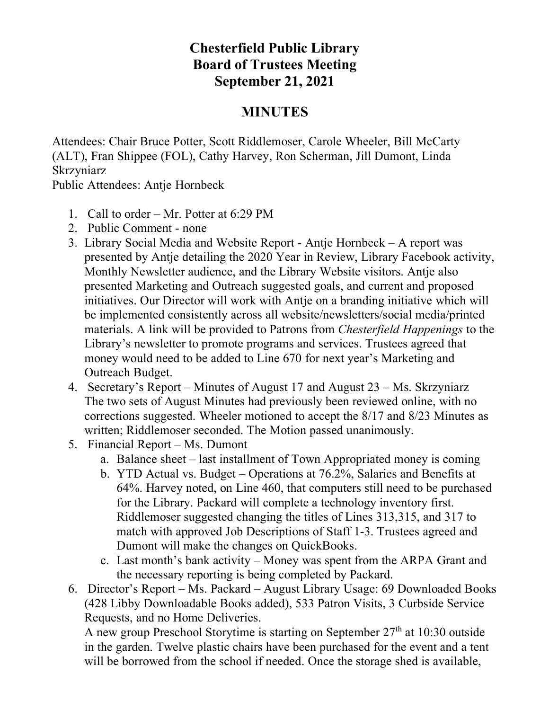## **Chesterfield Public Library Board of Trustees Meeting September 21, 2021**

## **MINUTES**

Attendees: Chair Bruce Potter, Scott Riddlemoser, Carole Wheeler, Bill McCarty (ALT), Fran Shippee (FOL), Cathy Harvey, Ron Scherman, Jill Dumont, Linda Skrzyniarz

Public Attendees: Antje Hornbeck

- 1. Call to order Mr. Potter at 6:29 PM
- 2. Public Comment none
- 3. Library Social Media and Website Report Antje Hornbeck A report was presented by Antje detailing the 2020 Year in Review, Library Facebook activity, Monthly Newsletter audience, and the Library Website visitors. Antje also presented Marketing and Outreach suggested goals, and current and proposed initiatives. Our Director will work with Antje on a branding initiative which will be implemented consistently across all website/newsletters/social media/printed materials. A link will be provided to Patrons from *Chesterfield Happenings* to the Library's newsletter to promote programs and services. Trustees agreed that money would need to be added to Line 670 for next year's Marketing and Outreach Budget.
- 4. Secretary's Report Minutes of August 17 and August 23 Ms. Skrzyniarz The two sets of August Minutes had previously been reviewed online, with no corrections suggested. Wheeler motioned to accept the 8/17 and 8/23 Minutes as written; Riddlemoser seconded. The Motion passed unanimously.
- 5. Financial Report Ms. Dumont
	- a. Balance sheet last installment of Town Appropriated money is coming
	- b. YTD Actual vs. Budget Operations at 76.2%, Salaries and Benefits at 64%. Harvey noted, on Line 460, that computers still need to be purchased for the Library. Packard will complete a technology inventory first. Riddlemoser suggested changing the titles of Lines 313,315, and 317 to match with approved Job Descriptions of Staff 1-3. Trustees agreed and Dumont will make the changes on QuickBooks.
	- c. Last month's bank activity Money was spent from the ARPA Grant and the necessary reporting is being completed by Packard.
- 6. Director's Report Ms. Packard August Library Usage: 69 Downloaded Books (428 Libby Downloadable Books added), 533 Patron Visits, 3 Curbside Service Requests, and no Home Deliveries.

A new group Preschool Storytime is starting on September 27<sup>th</sup> at 10:30 outside in the garden. Twelve plastic chairs have been purchased for the event and a tent will be borrowed from the school if needed. Once the storage shed is available,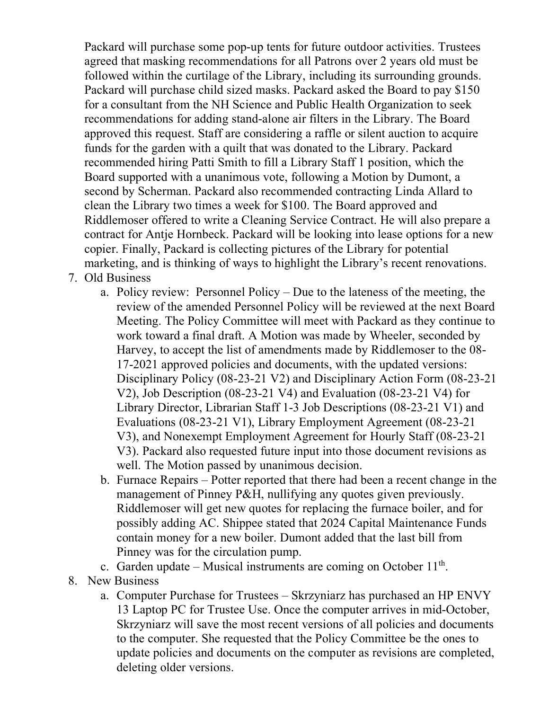Packard will purchase some pop-up tents for future outdoor activities. Trustees agreed that masking recommendations for all Patrons over 2 years old must be followed within the curtilage of the Library, including its surrounding grounds. Packard will purchase child sized masks. Packard asked the Board to pay \$150 for a consultant from the NH Science and Public Health Organization to seek recommendations for adding stand-alone air filters in the Library. The Board approved this request. Staff are considering a raffle or silent auction to acquire funds for the garden with a quilt that was donated to the Library. Packard recommended hiring Patti Smith to fill a Library Staff 1 position, which the Board supported with a unanimous vote, following a Motion by Dumont, a second by Scherman. Packard also recommended contracting Linda Allard to clean the Library two times a week for \$100. The Board approved and Riddlemoser offered to write a Cleaning Service Contract. He will also prepare a contract for Antje Hornbeck. Packard will be looking into lease options for a new copier. Finally, Packard is collecting pictures of the Library for potential marketing, and is thinking of ways to highlight the Library's recent renovations.

- 7. Old Business
	- a. Policy review: Personnel Policy Due to the lateness of the meeting, the review of the amended Personnel Policy will be reviewed at the next Board Meeting. The Policy Committee will meet with Packard as they continue to work toward a final draft. A Motion was made by Wheeler, seconded by Harvey, to accept the list of amendments made by Riddlemoser to the 08- 17-2021 approved policies and documents, with the updated versions: Disciplinary Policy (08-23-21 V2) and Disciplinary Action Form (08-23-21 V2), Job Description (08-23-21 V4) and Evaluation (08-23-21 V4) for Library Director, Librarian Staff 1-3 Job Descriptions (08-23-21 V1) and Evaluations (08-23-21 V1), Library Employment Agreement (08-23-21 V3), and Nonexempt Employment Agreement for Hourly Staff (08-23-21 V3). Packard also requested future input into those document revisions as well. The Motion passed by unanimous decision.
	- b. Furnace Repairs Potter reported that there had been a recent change in the management of Pinney P&H, nullifying any quotes given previously. Riddlemoser will get new quotes for replacing the furnace boiler, and for possibly adding AC. Shippee stated that 2024 Capital Maintenance Funds contain money for a new boiler. Dumont added that the last bill from Pinney was for the circulation pump.
	- c. Garden update Musical instruments are coming on October  $11<sup>th</sup>$ .
- 8. New Business
	- a. Computer Purchase for Trustees Skrzyniarz has purchased an HP ENVY 13 Laptop PC for Trustee Use. Once the computer arrives in mid-October, Skrzyniarz will save the most recent versions of all policies and documents to the computer. She requested that the Policy Committee be the ones to update policies and documents on the computer as revisions are completed, deleting older versions.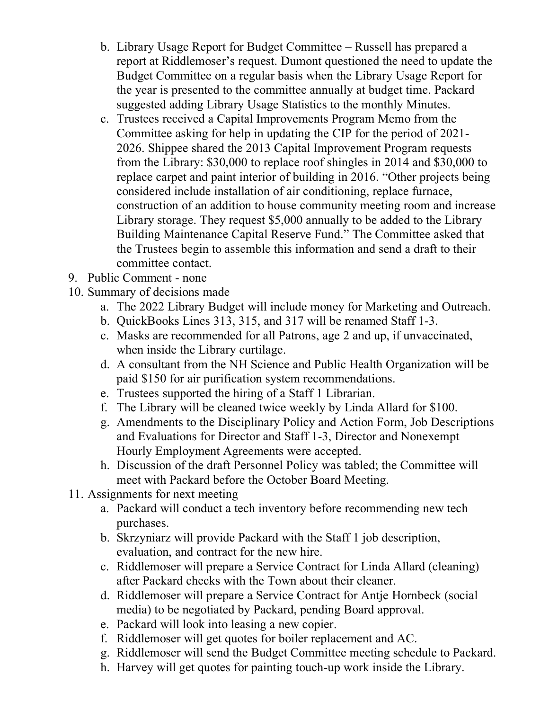- b. Library Usage Report for Budget Committee Russell has prepared a report at Riddlemoser's request. Dumont questioned the need to update the Budget Committee on a regular basis when the Library Usage Report for the year is presented to the committee annually at budget time. Packard suggested adding Library Usage Statistics to the monthly Minutes.
- c. Trustees received a Capital Improvements Program Memo from the Committee asking for help in updating the CIP for the period of 2021- 2026. Shippee shared the 2013 Capital Improvement Program requests from the Library: \$30,000 to replace roof shingles in 2014 and \$30,000 to replace carpet and paint interior of building in 2016. "Other projects being considered include installation of air conditioning, replace furnace, construction of an addition to house community meeting room and increase Library storage. They request \$5,000 annually to be added to the Library Building Maintenance Capital Reserve Fund." The Committee asked that the Trustees begin to assemble this information and send a draft to their committee contact.
- 9. Public Comment none
- 10. Summary of decisions made
	- a. The 2022 Library Budget will include money for Marketing and Outreach.
	- b. QuickBooks Lines 313, 315, and 317 will be renamed Staff 1-3.
	- c. Masks are recommended for all Patrons, age 2 and up, if unvaccinated, when inside the Library curtilage.
	- d. A consultant from the NH Science and Public Health Organization will be paid \$150 for air purification system recommendations.
	- e. Trustees supported the hiring of a Staff 1 Librarian.
	- f. The Library will be cleaned twice weekly by Linda Allard for \$100.
	- g. Amendments to the Disciplinary Policy and Action Form, Job Descriptions and Evaluations for Director and Staff 1-3, Director and Nonexempt Hourly Employment Agreements were accepted.
	- h. Discussion of the draft Personnel Policy was tabled; the Committee will meet with Packard before the October Board Meeting.
- 11. Assignments for next meeting
	- a. Packard will conduct a tech inventory before recommending new tech purchases.
	- b. Skrzyniarz will provide Packard with the Staff 1 job description, evaluation, and contract for the new hire.
	- c. Riddlemoser will prepare a Service Contract for Linda Allard (cleaning) after Packard checks with the Town about their cleaner.
	- d. Riddlemoser will prepare a Service Contract for Antje Hornbeck (social media) to be negotiated by Packard, pending Board approval.
	- e. Packard will look into leasing a new copier.
	- f. Riddlemoser will get quotes for boiler replacement and AC.
	- g. Riddlemoser will send the Budget Committee meeting schedule to Packard.
	- h. Harvey will get quotes for painting touch-up work inside the Library.